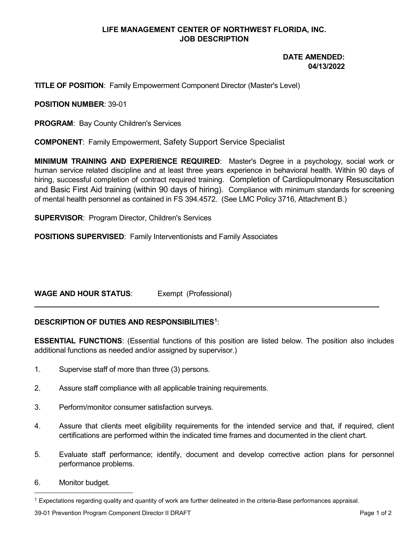# **LIFE MANAGEMENT CENTER OF NORTHWEST FLORIDA, INC. JOB DESCRIPTION**

# **DATE AMENDED: 04/13/2022**

## **TITLE OF POSITION**: Family Empowerment Component Director (Master's Level)

#### **POSITION NUMBER**: 39-01

**PROGRAM**: Bay County Children's Services

**COMPONENT**: Family Empowerment, Safety Support Service Specialist

**MINIMUM TRAINING AND EXPERIENCE REQUIRED**: Master's Degree in a psychology, social work or human service related discipline and at least three years experience in behavioral health. Within 90 days of hiring, successful completion of contract required training. Completion of Cardiopulmonary Resuscitation and Basic First Aid training (within 90 days of hiring). Compliance with minimum standards for screening of mental health personnel as contained in FS 394.4572. (See LMC Policy 3716, Attachment B.)

**SUPERVISOR**: Program Director, Children's Services

**POSITIONS SUPERVISED**: Family Interventionists and Family Associates

# **WAGE AND HOUR STATUS**: Exempt (Professional)

# **DESCRIPTION OF DUTIES AND RESPONSIBILITIES[1](#page-0-0)** :

**ESSENTIAL FUNCTIONS**: (Essential functions of this position are listed below. The position also includes additional functions as needed and/or assigned by supervisor.)

- 1. Supervise staff of more than three (3) persons.
- 2. Assure staff compliance with all applicable training requirements.
- 3. Perform/monitor consumer satisfaction surveys.
- 4. Assure that clients meet eligibility requirements for the intended service and that, if required, client certifications are performed within the indicated time frames and documented in the client chart.
- 5. Evaluate staff performance; identify, document and develop corrective action plans for personnel performance problems.
- 6. Monitor budget.

<span id="page-0-0"></span> $1$  Expectations regarding quality and quantity of work are further delineated in the criteria-Base performances appraisal.

<sup>39-01</sup> Prevention Program Component Director II DRAFT **Page 1 of 2** and 2 and 2 and 2 and 2 and 2 and 2 and 2 and 2